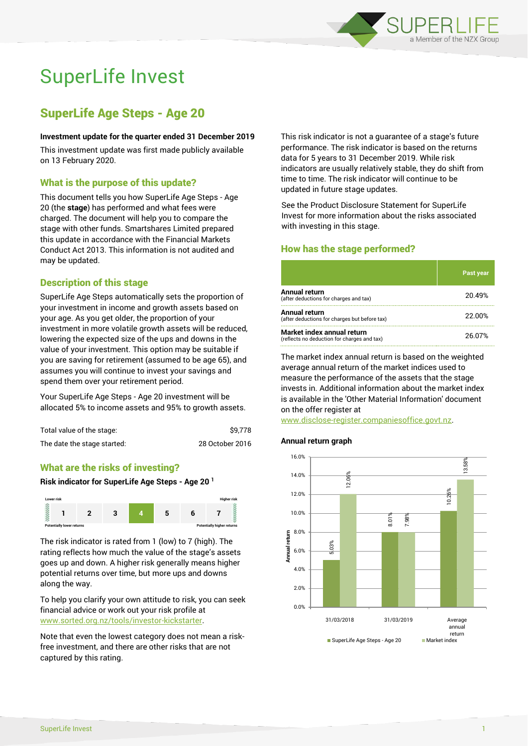

# SuperLife Invest

# SuperLife Age Steps - Age 20

#### **Investment update for the quarter ended 31 December 2019**

This investment update was first made publicly available on 13 February 2020.

# What is the purpose of this update?

This document tells you how SuperLife Age Steps - Age 20 (the **stage**) has performed and what fees were charged. The document will help you to compare the stage with other funds. Smartshares Limited prepared this update in accordance with the Financial Markets Conduct Act 2013. This information is not audited and may be updated.

# Description of this stage

SuperLife Age Steps automatically sets the proportion of your investment in income and growth assets based on your age. As you get older, the proportion of your investment in more volatile growth assets will be reduced, lowering the expected size of the ups and downs in the value of your investment. This option may be suitable if you are saving for retirement (assumed to be age 65), and assumes you will continue to invest your savings and spend them over your retirement period.

Your SuperLife Age Steps - Age 20 investment will be allocated 5% to income assets and 95% to growth assets.

| Total value of the stage:   | \$9.778         |
|-----------------------------|-----------------|
| The date the stage started: | 28 October 2016 |

## What are the risks of investing?

# **Risk indicator for SuperLife Age Steps - Age 20 <sup>1</sup>**



The risk indicator is rated from 1 (low) to 7 (high). The rating reflects how much the value of the stage's assets goes up and down. A higher risk generally means higher potential returns over time, but more ups and downs along the way.

To help you clarify your own attitude to risk, you can seek financial advice or work out your risk profile at [www.sorted.org.nz/tools/investor-kickstarter.](http://www.sorted.org.nz/tools/investor-kickstarter)

Note that even the lowest category does not mean a riskfree investment, and there are other risks that are not captured by this rating.

This risk indicator is not a guarantee of a stage's future performance. The risk indicator is based on the returns data for 5 years to 31 December 2019. While risk indicators are usually relatively stable, they do shift from time to time. The risk indicator will continue to be updated in future stage updates.

See the Product Disclosure Statement for SuperLife Invest for more information about the risks associated with investing in this stage.

# How has the stage performed?

|                                                                           | <b>Past year</b> |
|---------------------------------------------------------------------------|------------------|
| Annual return<br>(after deductions for charges and tax)                   | 20.49%           |
| Annual return<br>(after deductions for charges but before tax)            | 22.00%           |
| Market index annual return<br>(reflects no deduction for charges and tax) | 26.07%           |

The market index annual return is based on the weighted average annual return of the market indices used to measure the performance of the assets that the stage invests in. Additional information about the market index is available in the 'Other Material Information' document on the offer register at

www.disclose-register.companiesoffice.govt.nz.

## **Annual return graph**

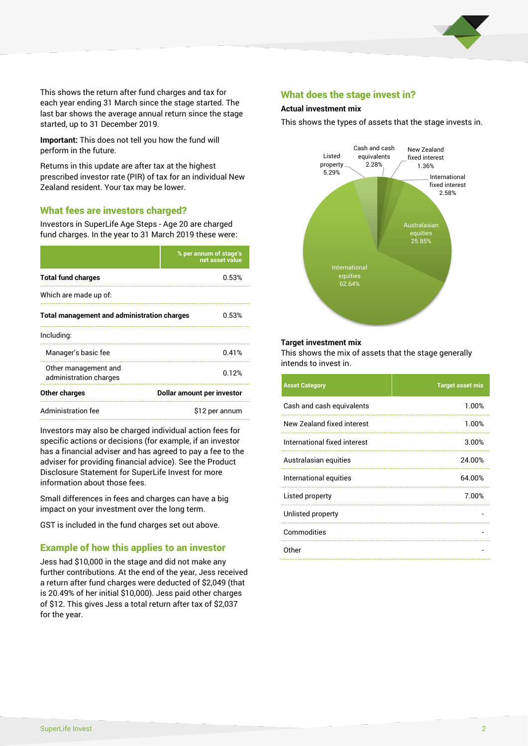

This shows the return after fund charges and tax for each year ending 31 March since the stage started. The last bar shows the average annual return since the stage started, up to 31 December 2019.

**Important:** This does not tell you how the fund will perform in the future.

Returns in this update are after tax at the highest prescribed investor rate (PIR) of tax for an individual New Zealand resident. Your tax may be lower.

# What fees are investors charged?

Investors in SuperLife Age Steps - Age 20 are charged fund charges. In the year to 31 March 2019 these were:

|                                                    | % per annum of stage's<br>net asset value |  |
|----------------------------------------------------|-------------------------------------------|--|
| <b>Total fund charges</b>                          | 0.53%                                     |  |
| Which are made up of:                              |                                           |  |
| <b>Total management and administration charges</b> | 0.53%                                     |  |
| Including:                                         |                                           |  |
| Manager's basic fee                                | 0.41%                                     |  |
| Other management and<br>administration charges     | 0.12%                                     |  |
| Other charges                                      | Dollar amount per investor                |  |
| Administration fee                                 | \$12 per annum                            |  |

Investors may also be charged individual action fees for specific actions or decisions (for example, if an investor has a financial adviser and has agreed to pay a fee to the adviser for providing financial advice). See the Product Disclosure Statement for SuperLife Invest for more information about those fees.

Small differences in fees and charges can have a big impact on your investment over the long term.

GST is included in the fund charges set out above.

# Example of how this applies to an investor

Jess had \$10,000 in the stage and did not make any further contributions. At the end of the year, Jess received a return after fund charges were deducted of \$2,049 (that is 20.49% of her initial \$10,000). Jess paid other charges of \$12. This gives Jess a total return after tax of \$2,037 for the year.

## What does the stage invest in?

#### **Actual investment mix**

This shows the types of assets that the stage invests in.



#### **Target investment mix**

This shows the mix of assets that the stage generally intends to invest in.

| <b>Asset Category</b>        | <b>Target asset mix</b> |
|------------------------------|-------------------------|
| Cash and cash equivalents    | 1.00%                   |
| New Zealand fixed interest   | 1.00%                   |
| International fixed interest | 3.00%                   |
| Australasian equities        | 24.00%                  |
| International equities       | 64.00%                  |
| Listed property              | 7.00%                   |
| Unlisted property            |                         |
| Commodities                  |                         |
| Other                        |                         |